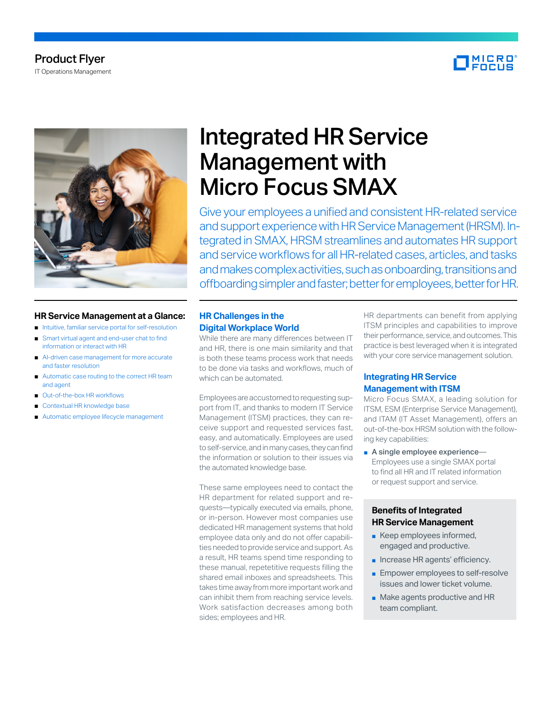# Product Flyer IT Operations Management





## **HR Service Management at a Glance:**

- Intuitive, familiar service portal for self-resolution
- Smart virtual agent and end-user chat to find information or interact with HR
- AI-driven case management for more accurate and faster resolution
- Automatic case routing to the correct HR team and agent
- Out-of-the-box HR workflows
- Contextual HR knowledge base
- Automatic employee lifecycle management

# Integrated HR Service Management with Micro Focus SMAX

Give your employees a unified and consistent HR-related service and support experience with HR Service Management (HRSM). Integrated in SMAX, HRSM streamlines and automates HR support and service workflows for all HR-related cases, articles, and tasks and makes complex activities, such as onboarding, transitions and offboarding simpler and faster; better for employees, better for HR.

# **HR Challenges in the Digital Workplace World**

While there are many differences between IT and HR, there is one main similarity and that is both these teams process work that needs to be done via tasks and workflows, much of which can be automated.

Employees are accustomed to requesting support from IT, and thanks to modern IT Service Management (ITSM) practices, they can receive support and requested services fast, easy, and automatically. Employees are used to self-service, and in many cases, they can find the information or solution to their issues via the automated knowledge base.

These same employees need to contact the HR department for related support and requests—typically executed via emails, phone, or in-person. However most companies use dedicated HR management systems that hold employee data only and do not offer capabilities needed to provide service and support. As a result, HR teams spend time responding to these manual, repetetitive requests filling the shared email inboxes and spreadsheets. This takes time away from more important work and can inhibit them from reaching service levels. Work satisfaction decreases among both sides; employees and HR.

HR departments can benefit from applying ITSM principles and capabilities to improve their performance, service, and outcomes. This practice is best leveraged when it is integrated with your core service management solution.

# **Integrating HR Service Management with ITSM**

Micro Focus SMAX, a leading solution for ITSM, ESM (Enterprise Service Management), and ITAM (IT Asset Management), offers an out-of-the-box HRSM solution with the following key capabilities:

■ A single employee experience— Employees use a single SMAX portal to find all HR and IT related information or request support and service.

# **Benefits of Integrated HR Service Management**

- Keep employees informed, engaged and productive.
- Increase HR agents' efficiency.
- Empower employees to self-resolve issues and lower ticket volume.
- Make agents productive and HR team compliant.